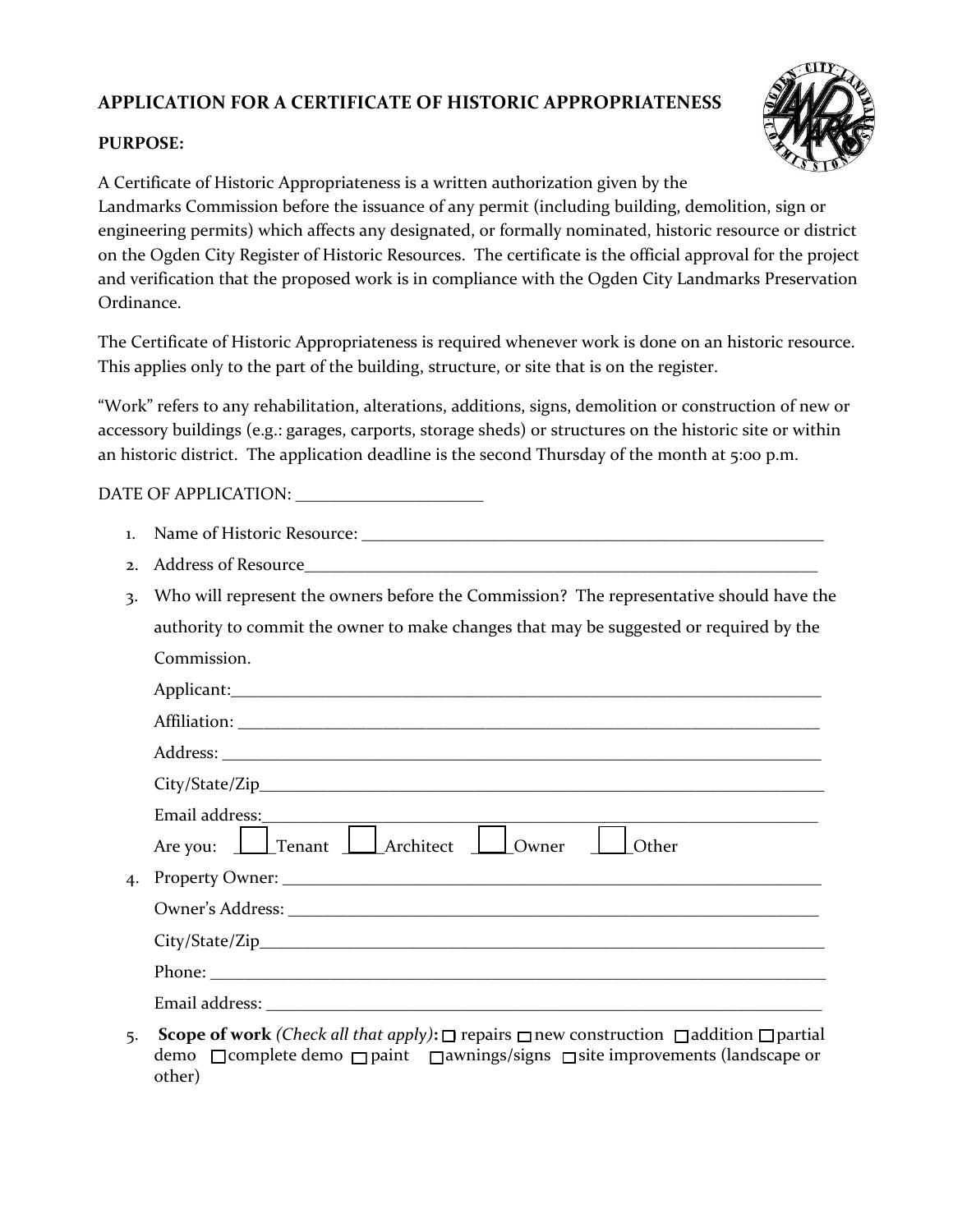## **APPLICATION FOR A CERTIFICATE OF HISTORIC APPROPRIATENESS**



## **PURPOSE:**

A Certificate of Historic Appropriateness is a written authorization given by the Landmarks Commission before the issuance of any permit (including building, demolition, sign or engineering permits) which affects any designated, or formally nominated, historic resource or district on the Ogden City Register of Historic Resources. The certificate is the official approval for the project and verification that the proposed work is in compliance with the Ogden City Landmarks Preservation Ordinance.

The Certificate of Historic Appropriateness is required whenever work is done on an historic resource. This applies only to the part of the building, structure, or site that is on the register.

"Work" refers to any rehabilitation, alterations, additions, signs, demolition or construction of new or accessory buildings (e.g.: garages, carports, storage sheds) or structures on the historic site or within an historic district. The application deadline is the second Thursday of the month at 5:00 p.m.

## DATE OF APPLICATION: \_\_\_\_\_\_\_\_\_\_\_\_\_\_\_\_\_\_\_\_\_\_

| $\mathbf{1}$ . |                                                                                                                                                                                                                                      |
|----------------|--------------------------------------------------------------------------------------------------------------------------------------------------------------------------------------------------------------------------------------|
| 2.             | Address of Resource                                                                                                                                                                                                                  |
| 3.             | Who will represent the owners before the Commission? The representative should have the                                                                                                                                              |
|                | authority to commit the owner to make changes that may be suggested or required by the                                                                                                                                               |
|                | Commission.                                                                                                                                                                                                                          |
|                |                                                                                                                                                                                                                                      |
|                |                                                                                                                                                                                                                                      |
|                |                                                                                                                                                                                                                                      |
|                |                                                                                                                                                                                                                                      |
|                | <u> 2002 - Johann Johann Johann Johann Johann Johann Johann Johann Johann Johann Johann Johann Johann Johann Johann Johann Johann Johann Johann Johann Johann Johann Johann Johann Johann Johann Johann Johann Johann Johann Joh</u> |
|                | Are you: <u>I Tenant I Architect I Owner</u><br>Other                                                                                                                                                                                |
| 4.             |                                                                                                                                                                                                                                      |
|                |                                                                                                                                                                                                                                      |
|                |                                                                                                                                                                                                                                      |
|                |                                                                                                                                                                                                                                      |
|                |                                                                                                                                                                                                                                      |
|                | $\mathbf{G}$ can a $\mathbf{f}$ would (Check all that any $\mathbf{h}$ ). $\mathbf{\Pi}$ repairs $\mathbf{\Pi}$ new senst untition $\mathbf{\Pi}$ addition $\mathbf{\Pi}$ partial                                                    |

5. **Scope of work** *(Check all that apply)***:** □ repairs □ new construction □ addition □ partial demo □ complete demo □ paint □ awnings/signs □ site improvements (landscape or other)